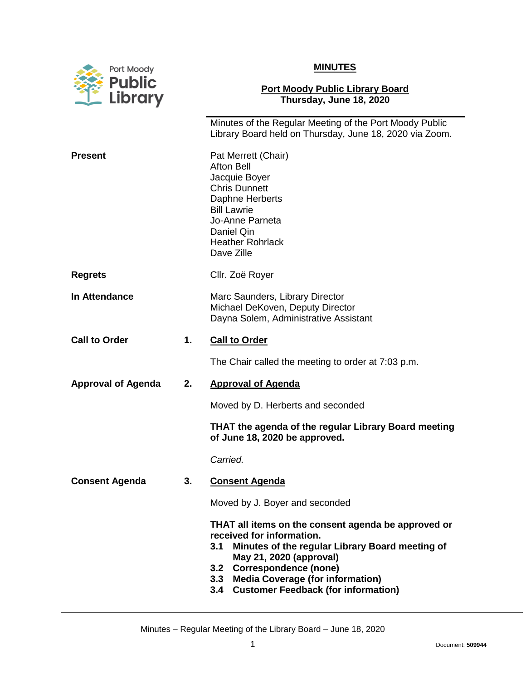



## **Port Moody Public Library Board Thursday, June 18, 2020**

|                           |    | Minutes of the Regular Meeting of the Port Moody Public<br>Library Board held on Thursday, June 18, 2020 via Zoom.                                                                                   |
|---------------------------|----|------------------------------------------------------------------------------------------------------------------------------------------------------------------------------------------------------|
| <b>Present</b>            |    | Pat Merrett (Chair)<br><b>Afton Bell</b><br>Jacquie Boyer<br><b>Chris Dunnett</b><br>Daphne Herberts<br><b>Bill Lawrie</b><br>Jo-Anne Parneta<br>Daniel Qin<br><b>Heather Rohrlack</b><br>Dave Zille |
| <b>Regrets</b>            |    | Cllr. Zoë Royer                                                                                                                                                                                      |
| In Attendance             |    | Marc Saunders, Library Director<br>Michael DeKoven, Deputy Director<br>Dayna Solem, Administrative Assistant                                                                                         |
| <b>Call to Order</b>      | 1. | <b>Call to Order</b>                                                                                                                                                                                 |
|                           |    | The Chair called the meeting to order at 7:03 p.m.                                                                                                                                                   |
| <b>Approval of Agenda</b> | 2. | <b>Approval of Agenda</b>                                                                                                                                                                            |
|                           |    | Moved by D. Herberts and seconded                                                                                                                                                                    |
|                           |    | THAT the agenda of the regular Library Board meeting<br>of June 18, 2020 be approved.                                                                                                                |
|                           |    | Carried.                                                                                                                                                                                             |
| <b>Consent Agenda</b>     | 3. | <b>Consent Agenda</b>                                                                                                                                                                                |
|                           |    | Moved by J. Boyer and seconded                                                                                                                                                                       |
|                           |    | THAT all items on the consent agenda be approved or<br>received for information.<br>Minutes of the regular Library Board meeting of<br>3.1<br>May 21, 2020 (approval)                                |
|                           |    | 3.2 Correspondence (none)<br>3.3 Media Coverage (for information)<br>3.4 Customer Feedback (for information)                                                                                         |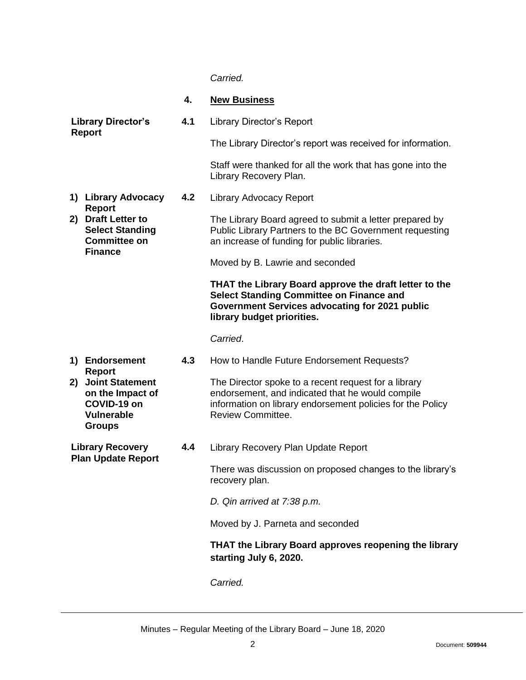## *Carried.*

|                                            |                                                                                             | 4.                                                                          | <b>New Business</b>                                                                                                                                                                                |
|--------------------------------------------|---------------------------------------------------------------------------------------------|-----------------------------------------------------------------------------|----------------------------------------------------------------------------------------------------------------------------------------------------------------------------------------------------|
| <b>Library Director's</b><br><b>Report</b> |                                                                                             | 4.1                                                                         | <b>Library Director's Report</b>                                                                                                                                                                   |
|                                            |                                                                                             |                                                                             | The Library Director's report was received for information.                                                                                                                                        |
|                                            |                                                                                             |                                                                             | Staff were thanked for all the work that has gone into the<br>Library Recovery Plan.                                                                                                               |
|                                            | 1) Library Advocacy<br><b>Report</b>                                                        | 4.2                                                                         | <b>Library Advocacy Report</b>                                                                                                                                                                     |
|                                            | 2) Draft Letter to<br><b>Select Standing</b><br><b>Committee on</b><br><b>Finance</b>       |                                                                             | The Library Board agreed to submit a letter prepared by<br>Public Library Partners to the BC Government requesting<br>an increase of funding for public libraries.                                 |
|                                            |                                                                                             |                                                                             | Moved by B. Lawrie and seconded                                                                                                                                                                    |
|                                            |                                                                                             |                                                                             | THAT the Library Board approve the draft letter to the<br><b>Select Standing Committee on Finance and</b><br>Government Services advocating for 2021 public<br>library budget priorities.          |
|                                            |                                                                                             |                                                                             | Carried.                                                                                                                                                                                           |
|                                            | 1) Endorsement<br><b>Report</b>                                                             | 4.3                                                                         | How to Handle Future Endorsement Requests?                                                                                                                                                         |
|                                            | 2) Joint Statement<br>on the Impact of<br>COVID-19 on<br><b>Vulnerable</b><br><b>Groups</b> |                                                                             | The Director spoke to a recent request for a library<br>endorsement, and indicated that he would compile<br>information on library endorsement policies for the Policy<br><b>Review Committee.</b> |
| <b>Library Recovery</b>                    |                                                                                             | 4.4                                                                         | Library Recovery Plan Update Report                                                                                                                                                                |
| <b>Plan Update Report</b>                  |                                                                                             | There was discussion on proposed changes to the library's<br>recovery plan. |                                                                                                                                                                                                    |
|                                            |                                                                                             |                                                                             | D. Qin arrived at 7:38 p.m.                                                                                                                                                                        |
|                                            |                                                                                             |                                                                             | Moved by J. Parneta and seconded                                                                                                                                                                   |
|                                            |                                                                                             |                                                                             | THAT the Library Board approves reopening the library<br>starting July 6, 2020.                                                                                                                    |

*Carried.*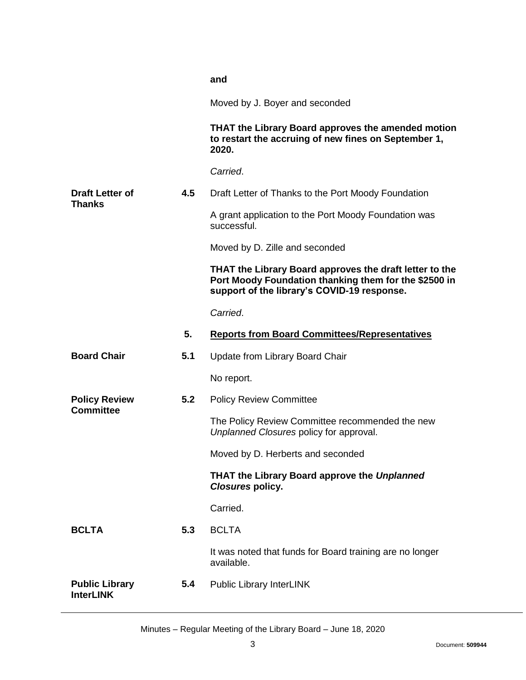|                                           |     | and                                                                                                                                                             |
|-------------------------------------------|-----|-----------------------------------------------------------------------------------------------------------------------------------------------------------------|
|                                           |     | Moved by J. Boyer and seconded                                                                                                                                  |
|                                           |     | THAT the Library Board approves the amended motion<br>to restart the accruing of new fines on September 1,<br>2020.                                             |
|                                           |     | Carried.                                                                                                                                                        |
| <b>Draft Letter of</b>                    | 4.5 | Draft Letter of Thanks to the Port Moody Foundation                                                                                                             |
| Thanks                                    |     | A grant application to the Port Moody Foundation was<br>successful.                                                                                             |
|                                           |     | Moved by D. Zille and seconded                                                                                                                                  |
|                                           |     | THAT the Library Board approves the draft letter to the<br>Port Moody Foundation thanking them for the \$2500 in<br>support of the library's COVID-19 response. |
|                                           |     | Carried.                                                                                                                                                        |
|                                           | 5.  | <b>Reports from Board Committees/Representatives</b>                                                                                                            |
| <b>Board Chair</b>                        | 5.1 | Update from Library Board Chair                                                                                                                                 |
|                                           |     | No report.                                                                                                                                                      |
| <b>Policy Review</b><br><b>Committee</b>  | 5.2 | <b>Policy Review Committee</b>                                                                                                                                  |
|                                           |     | The Policy Review Committee recommended the new<br>Unplanned Closures policy for approval.                                                                      |
|                                           |     | Moved by D. Herberts and seconded                                                                                                                               |
|                                           |     | THAT the Library Board approve the Unplanned<br><b>Closures policy.</b>                                                                                         |
|                                           |     | Carried.                                                                                                                                                        |
| <b>BCLTA</b>                              | 5.3 | <b>BCLTA</b>                                                                                                                                                    |
|                                           |     | It was noted that funds for Board training are no longer<br>available.                                                                                          |
| <b>Public Library</b><br><b>InterLINK</b> | 5.4 | <b>Public Library InterLINK</b>                                                                                                                                 |